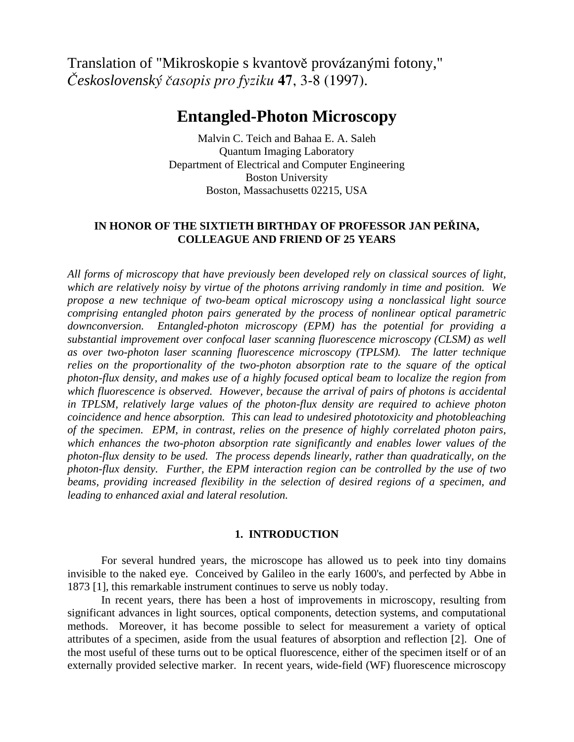Translation of "Mikroskopie s kvantově provázanými fotony," *C"eskoslovensky; c'asopis pro fyziku* **47**, 3-8 (1997).

# **Entangled-Photon Microscopy**

Malvin C. Teich and Bahaa E. A. Saleh Quantum Imaging Laboratory Department of Electrical and Computer Engineering Boston University Boston, Massachusetts 02215, USA

## IN HONOR OF THE SIXTIETH BIRTHDAY OF PROFESSOR JAN PERINA, **COLLEAGUE AND FRIEND OF 25 YEARS**

*All forms of microscopy that have previously been developed rely on classical sources of light, which are relatively noisy by virtue of the photons arriving randomly in time and position. We propose a new technique of two-beam optical microscopy using a nonclassical light source comprising entangled photon pairs generated by the process of nonlinear optical parametric downconversion. Entangled-photon microscopy (EPM) has the potential for providing a substantial improvement over confocal laser scanning fluorescence microscopy (CLSM) as well as over two-photon laser scanning fluorescence microscopy (TPLSM). The latter technique relies on the proportionality of the two-photon absorption rate to the square of the optical photon-flux density, and makes use of a highly focused optical beam to localize the region from which fluorescence is observed. However, because the arrival of pairs of photons is accidental in TPLSM, relatively large values of the photon-flux density are required to achieve photon coincidence and hence absorption. This can lead to undesired phototoxicity and photobleaching of the specimen. EPM, in contrast, relies on the presence of highly correlated photon pairs, which enhances the two-photon absorption rate significantly and enables lower values of the photon-flux density to be used. The process depends linearly, rather than quadratically, on the photon-flux density. Further, the EPM interaction region can be controlled by the use of two beams, providing increased flexibility in the selection of desired regions of a specimen, and leading to enhanced axial and lateral resolution.* 

### **1. INTRODUCTION**

 For several hundred years, the microscope has allowed us to peek into tiny domains invisible to the naked eye. Conceived by Galileo in the early 1600's, and perfected by Abbe in 1873 [1], this remarkable instrument continues to serve us nobly today.

 In recent years, there has been a host of improvements in microscopy, resulting from significant advances in light sources, optical components, detection systems, and computational methods. Moreover, it has become possible to select for measurement a variety of optical attributes of a specimen, aside from the usual features of absorption and reflection [2]. One of the most useful of these turns out to be optical fluorescence, either of the specimen itself or of an externally provided selective marker. In recent years, wide-field (WF) fluorescence microscopy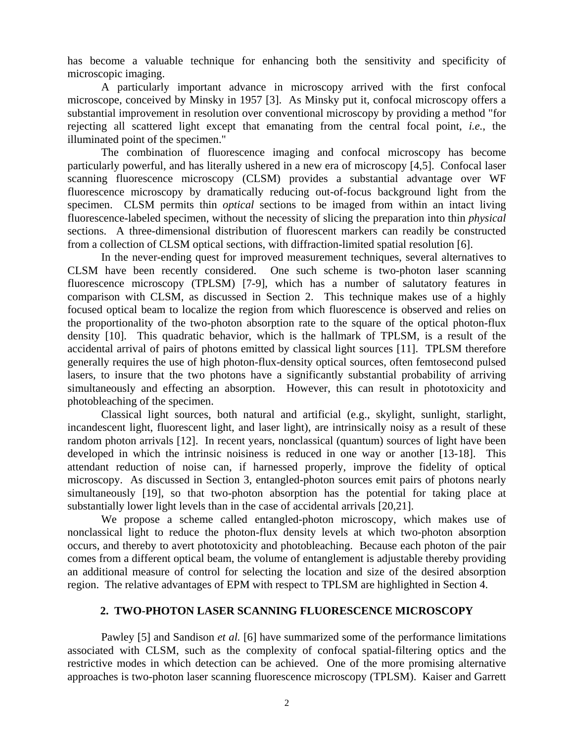has become a valuable technique for enhancing both the sensitivity and specificity of microscopic imaging.

 A particularly important advance in microscopy arrived with the first confocal microscope, conceived by Minsky in 1957 [3]. As Minsky put it, confocal microscopy offers a substantial improvement in resolution over conventional microscopy by providing a method "for rejecting all scattered light except that emanating from the central focal point, *i.e.*, the illuminated point of the specimen."

 The combination of fluorescence imaging and confocal microscopy has become particularly powerful, and has literally ushered in a new era of microscopy [4,5]. Confocal laser scanning fluorescence microscopy (CLSM) provides a substantial advantage over WF fluorescence microscopy by dramatically reducing out-of-focus background light from the specimen. CLSM permits thin *optical* sections to be imaged from within an intact living fluorescence-labeled specimen, without the necessity of slicing the preparation into thin *physical* sections. A three-dimensional distribution of fluorescent markers can readily be constructed from a collection of CLSM optical sections, with diffraction-limited spatial resolution [6].

 In the never-ending quest for improved measurement techniques, several alternatives to CLSM have been recently considered. One such scheme is two-photon laser scanning fluorescence microscopy (TPLSM) [7-9], which has a number of salutatory features in comparison with CLSM, as discussed in Section 2. This technique makes use of a highly focused optical beam to localize the region from which fluorescence is observed and relies on the proportionality of the two-photon absorption rate to the square of the optical photon-flux density [10]. This quadratic behavior, which is the hallmark of TPLSM, is a result of the accidental arrival of pairs of photons emitted by classical light sources [11]. TPLSM therefore generally requires the use of high photon-flux-density optical sources, often femtosecond pulsed lasers, to insure that the two photons have a significantly substantial probability of arriving simultaneously and effecting an absorption. However, this can result in phototoxicity and photobleaching of the specimen.

 Classical light sources, both natural and artificial (e.g., skylight, sunlight, starlight, incandescent light, fluorescent light, and laser light), are intrinsically noisy as a result of these random photon arrivals [12]. In recent years, nonclassical (quantum) sources of light have been developed in which the intrinsic noisiness is reduced in one way or another [13-18]. This attendant reduction of noise can, if harnessed properly, improve the fidelity of optical microscopy. As discussed in Section 3, entangled-photon sources emit pairs of photons nearly simultaneously [19], so that two-photon absorption has the potential for taking place at substantially lower light levels than in the case of accidental arrivals [20,21].

 We propose a scheme called entangled-photon microscopy, which makes use of nonclassical light to reduce the photon-flux density levels at which two-photon absorption occurs, and thereby to avert phototoxicity and photobleaching. Because each photon of the pair comes from a different optical beam, the volume of entanglement is adjustable thereby providing an additional measure of control for selecting the location and size of the desired absorption region. The relative advantages of EPM with respect to TPLSM are highlighted in Section 4.

## **2. TWO-PHOTON LASER SCANNING FLUORESCENCE MICROSCOPY**

 Pawley [5] and Sandison *et al.* [6] have summarized some of the performance limitations associated with CLSM, such as the complexity of confocal spatial-filtering optics and the restrictive modes in which detection can be achieved. One of the more promising alternative approaches is two-photon laser scanning fluorescence microscopy (TPLSM). Kaiser and Garrett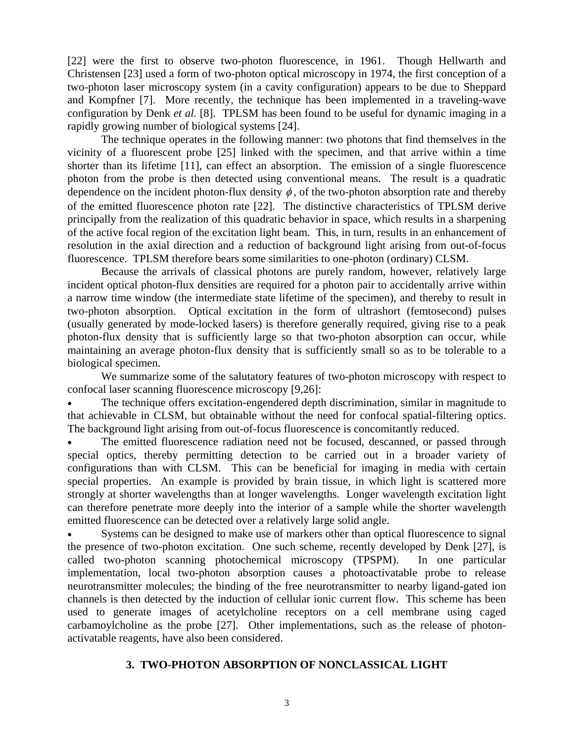[22] were the first to observe two-photon fluorescence, in 1961. Though Hellwarth and Christensen [23] used a form of two-photon optical microscopy in 1974, the first conception of a two-photon laser microscopy system (in a cavity configuration) appears to be due to Sheppard and Kompfner [7]. More recently, the technique has been implemented in a traveling-wave configuration by Denk *et al.* [8]. TPLSM has been found to be useful for dynamic imaging in a rapidly growing number of biological systems [24].

 The technique operates in the following manner: two photons that find themselves in the vicinity of a fluorescent probe [25] linked with the specimen, and that arrive within a time shorter than its lifetime [11], can effect an absorption. The emission of a single fluorescence photon from the probe is then detected using conventional means. The result is a quadratic dependence on the incident photon-flux density  $\phi$ , of the two-photon absorption rate and thereby of the emitted fluorescence photon rate [22]. The distinctive characteristics of TPLSM derive principally from the realization of this quadratic behavior in space, which results in a sharpening of the active focal region of the excitation light beam. This, in turn, results in an enhancement of resolution in the axial direction and a reduction of background light arising from out-of-focus fluorescence. TPLSM therefore bears some similarities to one-photon (ordinary) CLSM.

 Because the arrivals of classical photons are purely random, however, relatively large incident optical photon-flux densities are required for a photon pair to accidentally arrive within a narrow time window (the intermediate state lifetime of the specimen), and thereby to result in two-photon absorption. Optical excitation in the form of ultrashort (femtosecond) pulses (usually generated by mode-locked lasers) is therefore generally required, giving rise to a peak photon-flux density that is sufficiently large so that two-photon absorption can occur, while maintaining an average photon-flux density that is sufficiently small so as to be tolerable to a biological specimen.

 We summarize some of the salutatory features of two-photon microscopy with respect to confocal laser scanning fluorescence microscopy [9,26]:

The technique offers excitation-engendered depth discrimination, similar in magnitude to that achievable in CLSM, but obtainable without the need for confocal spatial-filtering optics. The background light arising from out-of-focus fluorescence is concomitantly reduced.

The emitted fluorescence radiation need not be focused, descanned, or passed through special optics, thereby permitting detection to be carried out in a broader variety of configurations than with CLSM. This can be beneficial for imaging in media with certain special properties. An example is provided by brain tissue, in which light is scattered more strongly at shorter wavelengths than at longer wavelengths. Longer wavelength excitation light can therefore penetrate more deeply into the interior of a sample while the shorter wavelength emitted fluorescence can be detected over a relatively large solid angle.

Systems can be designed to make use of markers other than optical fluorescence to signal the presence of two-photon excitation. One such scheme, recently developed by Denk [27], is called two-photon scanning photochemical microscopy (TPSPM). In one particular implementation, local two-photon absorption causes a photoactivatable probe to release neurotransmitter molecules; the binding of the free neurotransmitter to nearby ligand-gated ion channels is then detected by the induction of cellular ionic current flow. This scheme has been used to generate images of acetylcholine receptors on a cell membrane using caged carbamoylcholine as the probe [27]. Other implementations, such as the release of photonactivatable reagents, have also been considered.

# **3. TWO-PHOTON ABSORPTION OF NONCLASSICAL LIGHT**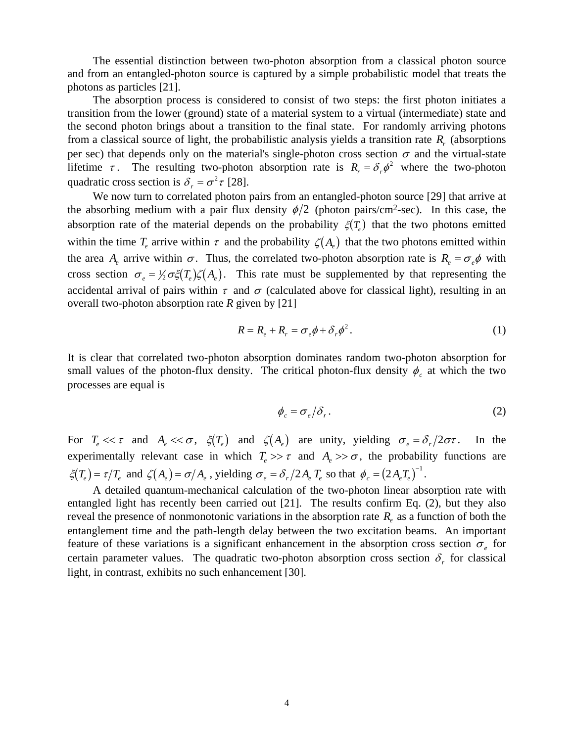The essential distinction between two-photon absorption from a classical photon source and from an entangled-photon source is captured by a simple probabilistic model that treats the photons as particles [21].

 The absorption process is considered to consist of two steps: the first photon initiates a transition from the lower (ground) state of a material system to a virtual (intermediate) state and the second photon brings about a transition to the final state. For randomly arriving photons from a classical source of light, the probabilistic analysis yields a transition rate  $R_r$  (absorptions per sec) that depends only on the material's single-photon cross section  $\sigma$  and the virtual-state lifetime  $\tau$ . The resulting two-photon absorption rate is  $R_r = \delta_r \phi^2$  where the two-photon quadratic cross section is  $\delta_r = \sigma^2 \tau$  [28].

 We now turn to correlated photon pairs from an entangled-photon source [29] that arrive at the absorbing medium with a pair flux density  $\phi/2$  (photon pairs/cm<sup>2</sup>-sec). In this case, the absorption rate of the material depends on the probability  $\zeta(T_e)$  that the two photons emitted absorption rate of the material depends on the probability  $\zeta(T_e)$  that the two photons emitted within the time  $T_e$  arrive within  $\tau$  and the probability  $\zeta(A_e)$  that the two photons emitted within the area  $A_e$  arrive within  $\sigma$ . Thus, the correlated two-photon absorption rate is  $R_e = \sigma_e \phi$  with cross section  $\sigma_e = \frac{1}{2} \sigma \xi(T_e) \zeta(A_e)$ . This rate must be supplemented by that representing the accidental arrival of pairs within  $\tau$  and  $\sigma$  (calculated above for classical light), resulting in an overall two-photon absorption rate *R* given by [21]

$$
R = R_e + R_r = \sigma_e \phi + \delta_r \phi^2. \tag{1}
$$

It is clear that correlated two-photon absorption dominates random two-photon absorption for small values of the photon-flux density. The critical photon-flux density  $\phi_c$  at which the two processes are equal is

$$
\phi_c = \sigma_e / \delta_r. \tag{2}
$$

For  $T_e \ll \tau$  and  $A_e \ll \sigma$ ,  $\xi(T_e)$  and  $\zeta(A_e)$  are unity, yielding  $\sigma_e = \delta_r/2\sigma\tau$ . In the experimentally relevant case in which  $T_e \gg \tau$  and  $A_e \gg \sigma$ , the probability functions are  $\xi(T_e) = \tau/T_e$  and  $\zeta(A_e) = \sigma/A_e$ , yielding  $\sigma_e = \delta_r/2A_eT_e$  so that  $\phi_c = (2A_eT_e)^{-1}$ .

 A detailed quantum-mechanical calculation of the two-photon linear absorption rate with entangled light has recently been carried out [21]. The results confirm Eq. (2), but they also reveal the presence of nonmonotonic variations in the absorption rate  $R_e$  as a function of both the entanglement time and the path-length delay between the two excitation beams. An important feature of these variations is a significant enhancement in the absorption cross section  $\sigma_e$  for certain parameter values. The quadratic two-photon absorption cross section  $\delta_r$  for classical light, in contrast, exhibits no such enhancement [30].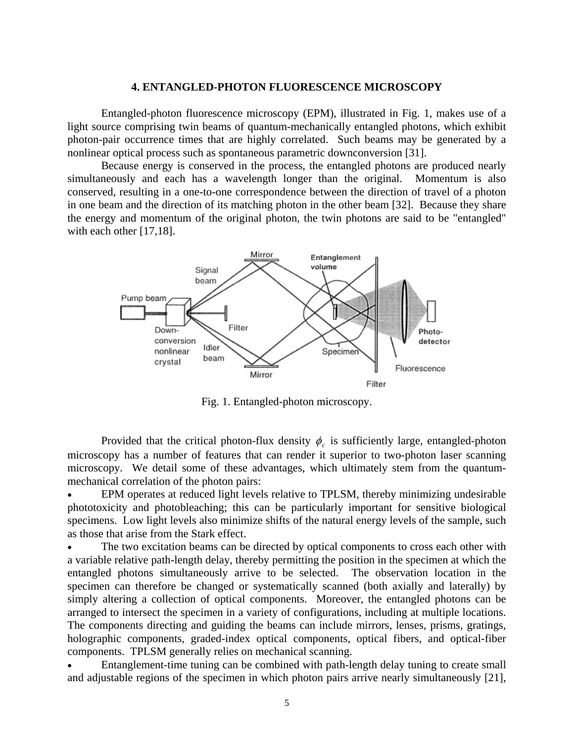### **4. ENTANGLED-PHOTON FLUORESCENCE MICROSCOPY**

 Entangled-photon fluorescence microscopy (EPM), illustrated in Fig. 1, makes use of a light source comprising twin beams of quantum-mechanically entangled photons, which exhibit photon-pair occurrence times that are highly correlated. Such beams may be generated by a nonlinear optical process such as spontaneous parametric downconversion [31].

 Because energy is conserved in the process, the entangled photons are produced nearly simultaneously and each has a wavelength longer than the original. Momentum is also conserved, resulting in a one-to-one correspondence between the direction of travel of a photon in one beam and the direction of its matching photon in the other beam [32]. Because they share the energy and momentum of the original photon, the twin photons are said to be "entangled" with each other [17,18].



Fig. 1. Entangled-photon microscopy.

Provided that the critical photon-flux density  $\phi_c$  is sufficiently large, entangled-photon microscopy has a number of features that can render it superior to two-photon laser scanning microscopy. We detail some of these advantages, which ultimately stem from the quantummechanical correlation of the photon pairs:

• EPM operates at reduced light levels relative to TPLSM, thereby minimizing undesirable phototoxicity and photobleaching; this can be particularly important for sensitive biological specimens. Low light levels also minimize shifts of the natural energy levels of the sample, such as those that arise from the Stark effect.

The two excitation beams can be directed by optical components to cross each other with a variable relative path-length delay, thereby permitting the position in the specimen at which the entangled photons simultaneously arrive to be selected. The observation location in the specimen can therefore be changed or systematically scanned (both axially and laterally) by simply altering a collection of optical components. Moreover, the entangled photons can be arranged to intersect the specimen in a variety of configurations, including at multiple locations. The components directing and guiding the beams can include mirrors, lenses, prisms, gratings, holographic components, graded-index optical components, optical fibers, and optical-fiber components. TPLSM generally relies on mechanical scanning.

• Entanglement-time tuning can be combined with path-length delay tuning to create small and adjustable regions of the specimen in which photon pairs arrive nearly simultaneously [21],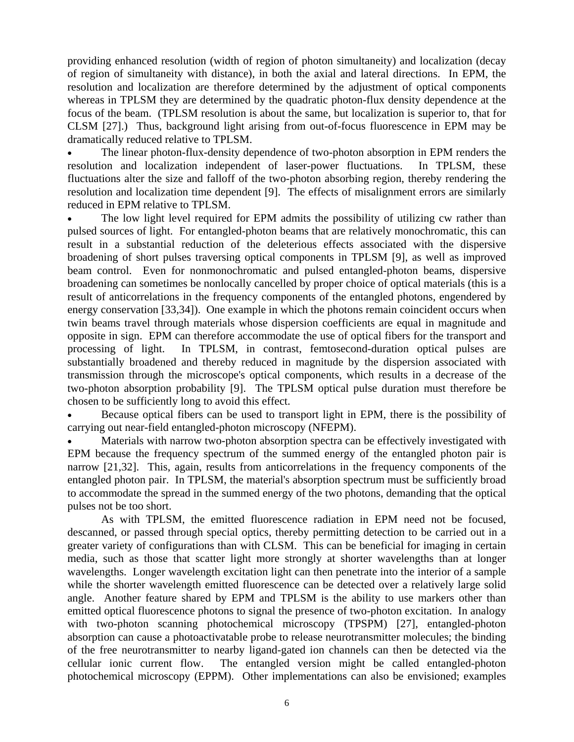providing enhanced resolution (width of region of photon simultaneity) and localization (decay of region of simultaneity with distance), in both the axial and lateral directions. In EPM, the resolution and localization are therefore determined by the adjustment of optical components whereas in TPLSM they are determined by the quadratic photon-flux density dependence at the focus of the beam. (TPLSM resolution is about the same, but localization is superior to, that for CLSM [27].) Thus, background light arising from out-of-focus fluorescence in EPM may be dramatically reduced relative to TPLSM.

• The linear photon-flux-density dependence of two-photon absorption in EPM renders the resolution and localization independent of laser-power fluctuations. In TPLSM, these fluctuations alter the size and falloff of the two-photon absorbing region, thereby rendering the resolution and localization time dependent [9]. The effects of misalignment errors are similarly reduced in EPM relative to TPLSM.

The low light level required for EPM admits the possibility of utilizing cw rather than pulsed sources of light. For entangled-photon beams that are relatively monochromatic, this can result in a substantial reduction of the deleterious effects associated with the dispersive broadening of short pulses traversing optical components in TPLSM [9], as well as improved beam control. Even for nonmonochromatic and pulsed entangled-photon beams, dispersive broadening can sometimes be nonlocally cancelled by proper choice of optical materials (this is a result of anticorrelations in the frequency components of the entangled photons, engendered by energy conservation [33,34]). One example in which the photons remain coincident occurs when twin beams travel through materials whose dispersion coefficients are equal in magnitude and opposite in sign. EPM can therefore accommodate the use of optical fibers for the transport and processing of light. In TPLSM, in contrast, femtosecond-duration optical pulses are substantially broadened and thereby reduced in magnitude by the dispersion associated with transmission through the microscope's optical components, which results in a decrease of the two-photon absorption probability [9]. The TPLSM optical pulse duration must therefore be chosen to be sufficiently long to avoid this effect.

• Because optical fibers can be used to transport light in EPM, there is the possibility of carrying out near-field entangled-photon microscopy (NFEPM).

Materials with narrow two-photon absorption spectra can be effectively investigated with EPM because the frequency spectrum of the summed energy of the entangled photon pair is narrow [21,32]. This, again, results from anticorrelations in the frequency components of the entangled photon pair. In TPLSM, the material's absorption spectrum must be sufficiently broad to accommodate the spread in the summed energy of the two photons, demanding that the optical pulses not be too short.

 As with TPLSM, the emitted fluorescence radiation in EPM need not be focused, descanned, or passed through special optics, thereby permitting detection to be carried out in a greater variety of configurations than with CLSM. This can be beneficial for imaging in certain media, such as those that scatter light more strongly at shorter wavelengths than at longer wavelengths. Longer wavelength excitation light can then penetrate into the interior of a sample while the shorter wavelength emitted fluorescence can be detected over a relatively large solid angle. Another feature shared by EPM and TPLSM is the ability to use markers other than emitted optical fluorescence photons to signal the presence of two-photon excitation. In analogy with two-photon scanning photochemical microscopy (TPSPM) [27], entangled-photon absorption can cause a photoactivatable probe to release neurotransmitter molecules; the binding of the free neurotransmitter to nearby ligand-gated ion channels can then be detected via the cellular ionic current flow. The entangled version might be called entangled-photon photochemical microscopy (EPPM). Other implementations can also be envisioned; examples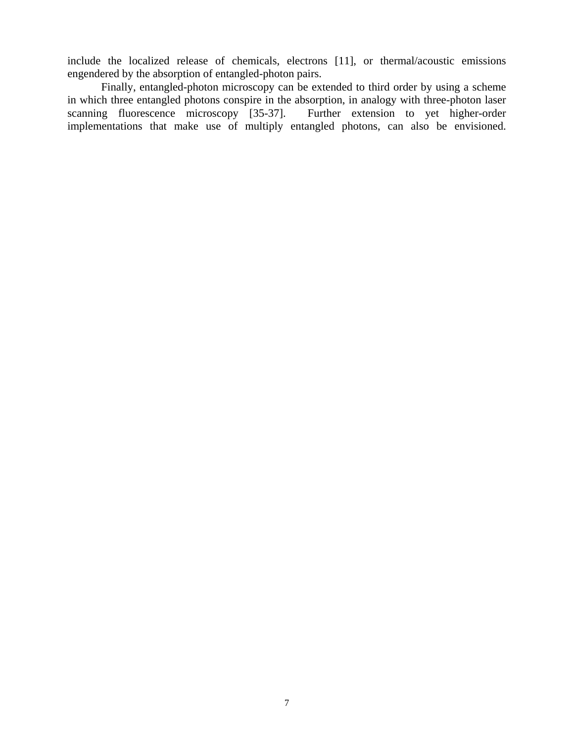include the localized release of chemicals, electrons [11], or thermal/acoustic emissions engendered by the absorption of entangled-photon pairs.

 Finally, entangled-photon microscopy can be extended to third order by using a scheme in which three entangled photons conspire in the absorption, in analogy with three-photon laser scanning fluorescence microscopy [35-37]. Further extension to yet higher-order implementations that make use of multiply entangled photons, can also be envisioned.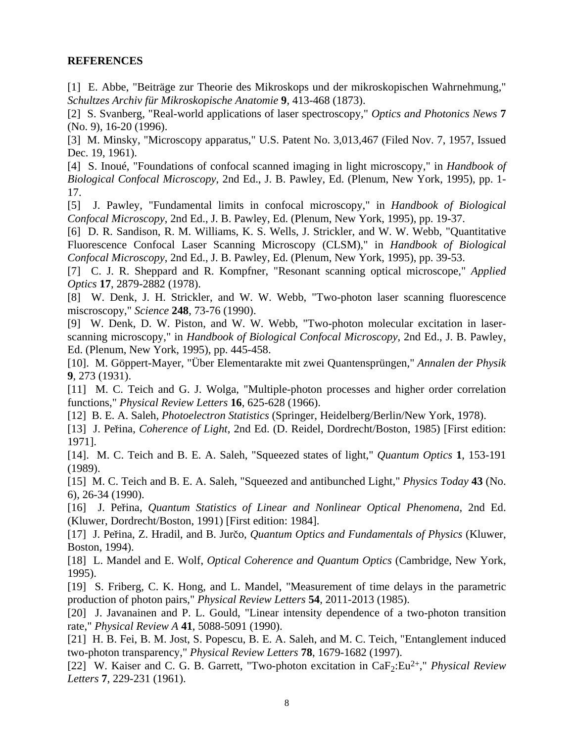## **REFERENCES**

[1] E. Abbe, "Beiträge zur Theorie des Mikroskops und der mikroskopischen Wahrnehmung," *Schultzes Archiv für Mikroskopische Anatomie* **9**, 413-468 (1873).

[2] S. Svanberg, "Real-world applications of laser spectroscopy," *Optics and Photonics News* **7** (No. 9), 16-20 (1996).

[3] M. Minsky, "Microscopy apparatus," U.S. Patent No. 3,013,467 (Filed Nov. 7, 1957, Issued Dec. 19, 1961).

[4] S. Inoué, "Foundations of confocal scanned imaging in light microscopy," in *Handbook of Biological Confocal Microscopy*, 2nd Ed., J. B. Pawley, Ed. (Plenum, New York, 1995), pp. 1- 17.

[5] J. Pawley, "Fundamental limits in confocal microscopy," in *Handbook of Biological Confocal Microscopy*, 2nd Ed., J. B. Pawley, Ed. (Plenum, New York, 1995), pp. 19-37.

[6] D. R. Sandison, R. M. Williams, K. S. Wells, J. Strickler, and W. W. Webb, "Quantitative Fluorescence Confocal Laser Scanning Microscopy (CLSM)," in *Handbook of Biological Confocal Microscopy*, 2nd Ed., J. B. Pawley, Ed. (Plenum, New York, 1995), pp. 39-53.

[7] C. J. R. Sheppard and R. Kompfner, "Resonant scanning optical microscope," *Applied Optics* **17**, 2879-2882 (1978).

[8] W. Denk, J. H. Strickler, and W. W. Webb, "Two-photon laser scanning fluorescence miscroscopy," *Science* **248**, 73-76 (1990).

[9] W. Denk, D. W. Piston, and W. W. Webb, "Two-photon molecular excitation in laserscanning microscopy," in *Handbook of Biological Confocal Microscopy*, 2nd Ed., J. B. Pawley, Ed. (Plenum, New York, 1995), pp. 445-458.

[10]. M. Göppert-Mayer, "Über Elementarakte mit zwei Quantensprüngen," *Annalen der Physik* **9**, 273 (1931).

[11] M. C. Teich and G. J. Wolga, "Multiple-photon processes and higher order correlation functions," *Physical Review Letters* **16**, 625-628 (1966).

[12] B. E. A. Saleh, *Photoelectron Statistics* (Springer, Heidelberg/Berlin/New York, 1978).

[13] J. Per'ina, *Coherence of Light*, 2nd Ed. (D. Reidel, Dordrecht/Boston, 1985) [First edition: 1971].

[14]. M. C. Teich and B. E. A. Saleh, "Squeezed states of light," *Quantum Optics* **1**, 153-191 (1989).

[15] M. C. Teich and B. E. A. Saleh, "Squeezed and antibunched Light," *Physics Today* **43** (No. 6), 26-34 (1990).

[16] J. Per'ina, *Quantum Statistics of Linear and Nonlinear Optical Phenomena*, 2nd Ed. (Kluwer, Dordrecht/Boston, 1991) [First edition: 1984].

[17] J. Peřina, Z. Hradil, and B. Jurčo, *Quantum Optics and Fundamentals of Physics* (Kluwer, Boston, 1994).

[18] L. Mandel and E. Wolf, *Optical Coherence and Quantum Optics* (Cambridge, New York, 1995).

[19] S. Friberg, C. K. Hong, and L. Mandel, "Measurement of time delays in the parametric production of photon pairs," *Physical Review Letters* **54**, 2011-2013 (1985).

[20] J. Javanainen and P. L. Gould, "Linear intensity dependence of a two-photon transition rate," *Physical Review A* **41**, 5088-5091 (1990).

[21] H. B. Fei, B. M. Jost, S. Popescu, B. E. A. Saleh, and M. C. Teich, "Entanglement induced two-photon transparency," *Physical Review Letters* **78**, 1679-1682 (1997).

[22] W. Kaiser and C. G. B. Garrett, "Two-photon excitation in CaF<sub>2</sub>:Eu<sup>2+</sup>," *Physical Review Letters* **7**, 229-231 (1961).